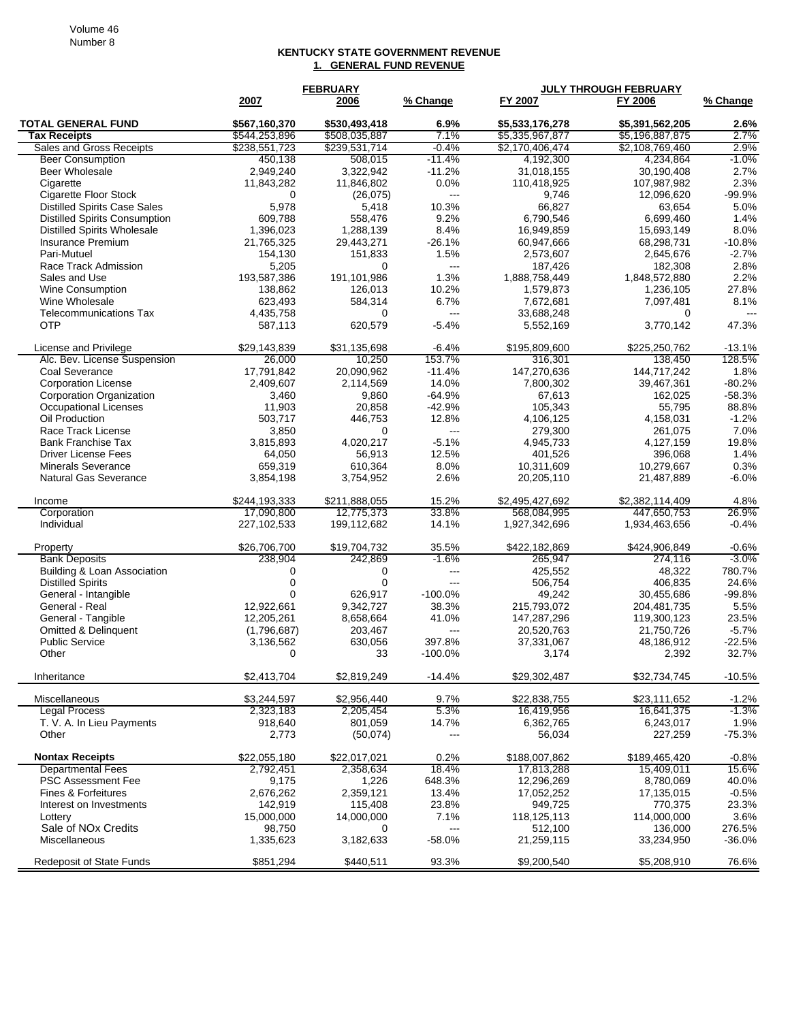## **KENTUCKY STATE GOVERNMENT REVENUE 1. GENERAL FUND REVENUE**

|                                             | <b>FEBRUARY</b> |               |                          | <b>JULY THROUGH FEBRUARY</b> |                 |          |  |
|---------------------------------------------|-----------------|---------------|--------------------------|------------------------------|-----------------|----------|--|
|                                             | 2007            | 2006          | % Change                 | FY 2007                      | FY 2006         | % Change |  |
| <b>TOTAL GENERAL FUND</b>                   | \$567,160,370   | \$530,493,418 | 6.9%                     | \$5,533,176,278              | \$5,391,562,205 | 2.6%     |  |
| <b>Tax Receipts</b>                         | \$544,253,896   | \$508,035,887 | 7.1%                     | \$5,335,967,877              | \$5,196,887,875 | 2.7%     |  |
| Sales and Gross Receipts                    | \$238,551,723   | \$239,531,714 | $-0.4%$                  | \$2,170,406,474              | \$2,108,769,460 | 2.9%     |  |
| <b>Beer Consumption</b>                     | 450,138         | 508,015       | $-11.4%$                 | 4,192,300                    | 4,234,864       | $-1.0\%$ |  |
| <b>Beer Wholesale</b>                       | 2,949,240       | 3.322.942     | $-11.2%$                 | 31,018,155                   | 30,190,408      | 2.7%     |  |
| Cigarette                                   | 11,843,282      | 11,846,802    | 0.0%                     | 110,418,925                  | 107,987,982     | 2.3%     |  |
| <b>Cigarette Floor Stock</b>                | 0               | (26,075)      | $---$                    | 9,746                        | 12,096,620      | $-99.9%$ |  |
| <b>Distilled Spirits Case Sales</b>         | 5,978           | 5,418         | 10.3%                    | 66,827                       | 63,654          | 5.0%     |  |
| <b>Distilled Spirits Consumption</b>        | 609,788         | 558,476       | 9.2%                     | 6,790,546                    | 6,699,460       | 1.4%     |  |
| <b>Distilled Spirits Wholesale</b>          | 1,396,023       | 1,288,139     | 8.4%                     | 16,949,859                   | 15,693,149      | 8.0%     |  |
| <b>Insurance Premium</b>                    | 21,765,325      | 29,443,271    | $-26.1%$                 | 60,947,666                   | 68,298,731      | $-10.8%$ |  |
| Pari-Mutuel                                 | 154,130         | 151,833       | 1.5%                     | 2,573,607                    | 2,645,676       | $-2.7%$  |  |
| Race Track Admission                        | 5,205           | $\Omega$      | $\overline{\phantom{a}}$ | 187,426                      | 182,308         | 2.8%     |  |
| Sales and Use                               | 193,587,386     | 191,101,986   | 1.3%                     | 1,888,758,449                | 1,848,572,880   | 2.2%     |  |
| Wine Consumption                            | 138,862         | 126,013       | 10.2%                    | 1,579,873                    | 1,236,105       | 27.8%    |  |
| Wine Wholesale                              | 623,493         | 584,314       | 6.7%                     | 7,672,681                    | 7,097,481       | 8.1%     |  |
| <b>Telecommunications Tax</b><br><b>OTP</b> | 4,435,758       | 0             | $---$                    | 33,688,248                   | 0               |          |  |
|                                             | 587,113         | 620,579       | $-5.4%$                  | 5,552,169                    | 3,770,142       | 47.3%    |  |
| License and Privilege                       | \$29,143,839    | \$31,135,698  | $-6.4%$                  | \$195,809,600                | \$225,250,762   | $-13.1%$ |  |
| Alc. Bev. License Suspension                | 26.000          | 10,250        | 153.7%                   | 316,301                      | 138,450         | 128.5%   |  |
| Coal Severance                              | 17,791,842      | 20,090,962    | $-11.4%$                 | 147,270,636                  | 144,717,242     | 1.8%     |  |
| <b>Corporation License</b>                  | 2,409,607       | 2,114,569     | 14.0%                    | 7,800,302                    | 39,467,361      | $-80.2%$ |  |
| <b>Corporation Organization</b>             | 3,460           | 9,860         | $-64.9%$                 | 67,613                       | 162.025         | $-58.3%$ |  |
| <b>Occupational Licenses</b>                | 11,903          | 20,858        | $-42.9%$                 | 105,343                      | 55,795          | 88.8%    |  |
| Oil Production                              | 503,717         | 446,753       | 12.8%                    | 4,106,125                    | 4,158,031       | $-1.2%$  |  |
| Race Track License                          | 3,850           | 0             | $---$                    | 279,300                      | 261,075         | 7.0%     |  |
| <b>Bank Franchise Tax</b>                   | 3,815,893       | 4,020,217     | $-5.1%$                  | 4,945,733                    | 4,127,159       | 19.8%    |  |
| <b>Driver License Fees</b>                  | 64,050          | 56,913        | 12.5%                    | 401,526                      | 396,068         | 1.4%     |  |
| <b>Minerals Severance</b>                   | 659,319         | 610,364       | 8.0%                     | 10,311,609                   | 10,279,667      | 0.3%     |  |
| <b>Natural Gas Severance</b>                | 3,854,198       | 3,754,952     | 2.6%                     | 20,205,110                   | 21,487,889      | $-6.0%$  |  |
| Income                                      | \$244,193,333   | \$211,888,055 | 15.2%                    | \$2,495,427,692              | \$2,382,114,409 | 4.8%     |  |
| Corporation                                 | 17,090,800      | 12,775,373    | 33.8%                    | 568,084,995                  | 447,650,753     | 26.9%    |  |
| Individual                                  | 227, 102, 533   | 199,112,682   | 14.1%                    | 1,927,342,696                | 1,934,463,656   | $-0.4%$  |  |
|                                             |                 |               |                          |                              |                 |          |  |
| Property                                    | \$26,706,700    | \$19,704,732  | 35.5%                    | \$422,182,869                | \$424,906,849   | $-0.6%$  |  |
| <b>Bank Deposits</b>                        | 238,904         | 242,869       | $-1.6%$                  | 265,947                      | 274,116         | $-3.0\%$ |  |
| Building & Loan Association                 | 0               | 0             | $---$                    | 425,552                      | 48,322          | 780.7%   |  |
| <b>Distilled Spirits</b>                    | 0               | $\mathbf 0$   | $---$                    | 506,754                      | 406,835         | 24.6%    |  |
| General - Intangible                        | $\Omega$        | 626,917       | $-100.0\%$               | 49,242                       | 30,455,686      | $-99.8%$ |  |
| General - Real                              | 12,922,661      | 9,342,727     | 38.3%                    | 215,793,072                  | 204,481,735     | 5.5%     |  |
| General - Tangible                          | 12,205,261      | 8,658,664     | 41.0%                    | 147,287,296                  | 119,300,123     | 23.5%    |  |
| <b>Omitted &amp; Delinquent</b>             | (1,796,687)     | 203,467       | ---                      | 20,520,763                   | 21,750,726      | $-5.7%$  |  |
| <b>Public Service</b>                       | 3,136,562       | 630,056       | 397.8%                   | 37,331,067                   | 48,186,912      | $-22.5%$ |  |
| Other                                       | 0               | 33            | $-100.0%$                | 3,174                        | 2,392           | 32.7%    |  |
| Inheritance                                 | \$2,413,704     | \$2,819,249   | $-14.4%$                 | \$29,302,487                 | \$32,734,745    | $-10.5%$ |  |
|                                             |                 |               |                          |                              |                 |          |  |
| Miscellaneous                               | \$3,244,597     | \$2,956,440   | 9.7%                     | \$22,838,755                 | \$23,111,652    | $-1.2%$  |  |
| <b>Legal Process</b>                        | 2,323,183       | 2,205,454     | 5.3%                     | 16,419,956                   | 16,641,375      | $-1.3%$  |  |
| T. V. A. In Lieu Payments                   | 918,640         | 801,059       | 14.7%                    | 6,362,765                    | 6,243,017       | 1.9%     |  |
| Other                                       | 2,773           | (50,074)      | ---                      | 56,034                       | 227,259         | $-75.3%$ |  |
| <b>Nontax Receipts</b>                      | \$22,055,180    | \$22,017,021  | 0.2%                     | \$188,007,862                | \$189,465,420   | $-0.8%$  |  |
| <b>Departmental Fees</b>                    | 2,792,451       | 2,358,634     | 18.4%                    | 17,813,288                   | 15,409,011      | 15.6%    |  |
| <b>PSC Assessment Fee</b>                   | 9,175           | 1,226         | 648.3%                   | 12,296,269                   | 8,780,069       | 40.0%    |  |
| Fines & Forfeitures                         | 2,676,262       | 2,359,121     | 13.4%                    | 17,052,252                   | 17,135,015      | $-0.5%$  |  |
| Interest on Investments                     | 142,919         | 115,408       | 23.8%                    | 949,725                      | 770,375         | 23.3%    |  |
| Lottery                                     | 15,000,000      | 14,000,000    | 7.1%                     | 118,125,113                  | 114,000,000     | 3.6%     |  |
| Sale of NO <sub>x</sub> Credits             | 98,750          | 0             | ---                      | 512,100                      | 136,000         | 276.5%   |  |
| Miscellaneous                               | 1,335,623       | 3,182,633     | $-58.0%$                 | 21,259,115                   | 33,234,950      | $-36.0%$ |  |
|                                             |                 |               |                          |                              |                 |          |  |
| Redeposit of State Funds                    | \$851,294       | \$440,511     | 93.3%                    | \$9,200,540                  | \$5,208,910     | 76.6%    |  |